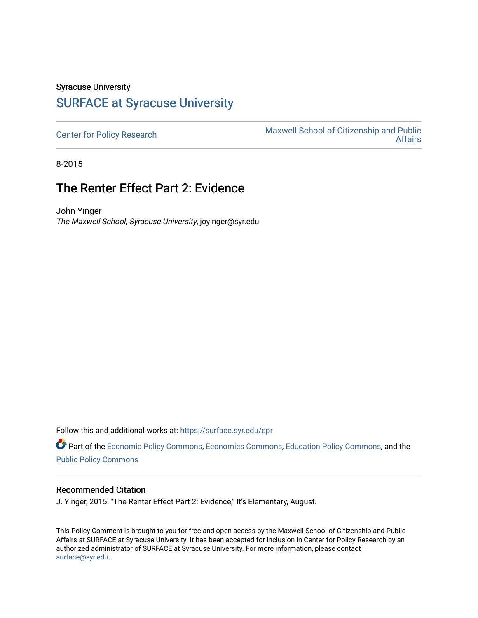## Syracuse University [SURFACE at Syracuse University](https://surface.syr.edu/)

[Center for Policy Research](https://surface.syr.edu/cpr) Maxwell School of Citizenship and Public<br>Affairs [Affairs](https://surface.syr.edu/maxwell) 

8-2015

## The Renter Effect Part 2: Evidence

John Yinger The Maxwell School, Syracuse University, joyinger@syr.edu

Follow this and additional works at: [https://surface.syr.edu/cpr](https://surface.syr.edu/cpr?utm_source=surface.syr.edu%2Fcpr%2F312&utm_medium=PDF&utm_campaign=PDFCoverPages) 

Part of the [Economic Policy Commons](http://network.bepress.com/hgg/discipline/1025?utm_source=surface.syr.edu%2Fcpr%2F312&utm_medium=PDF&utm_campaign=PDFCoverPages), [Economics Commons,](http://network.bepress.com/hgg/discipline/340?utm_source=surface.syr.edu%2Fcpr%2F312&utm_medium=PDF&utm_campaign=PDFCoverPages) [Education Policy Commons](http://network.bepress.com/hgg/discipline/1026?utm_source=surface.syr.edu%2Fcpr%2F312&utm_medium=PDF&utm_campaign=PDFCoverPages), and the [Public Policy Commons](http://network.bepress.com/hgg/discipline/400?utm_source=surface.syr.edu%2Fcpr%2F312&utm_medium=PDF&utm_campaign=PDFCoverPages)

## Recommended Citation

J. Yinger, 2015. "The Renter Effect Part 2: Evidence," It's Elementary, August.

This Policy Comment is brought to you for free and open access by the Maxwell School of Citizenship and Public Affairs at SURFACE at Syracuse University. It has been accepted for inclusion in Center for Policy Research by an authorized administrator of SURFACE at Syracuse University. For more information, please contact [surface@syr.edu.](mailto:surface@syr.edu)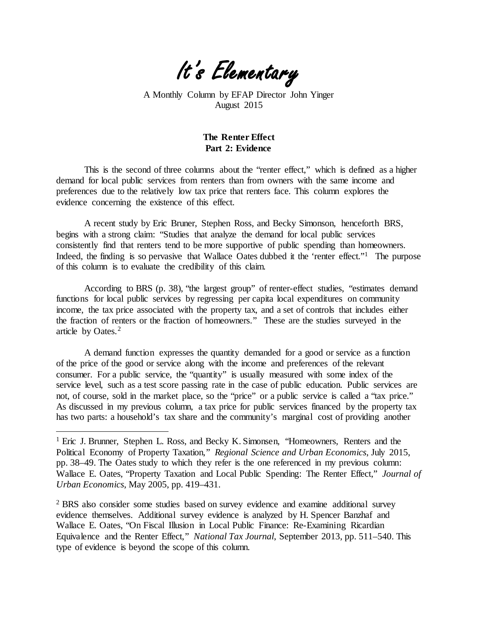

A Monthly Column by EFAP Director John Yinger August 2015

## **The Renter Effect Part 2: Evidence**

This is the second of three columns about the "renter effect," which is defined as a higher demand for local public services from renters than from owners with the same income and preferences due to the relatively low tax price that renters face. This column explores the evidence concerning the existence of this effect.

A recent study by Eric Bruner, Stephen Ross, and Becky Simonson, henceforth BRS, begins with a strong claim: "Studies that analyze the demand for local public services consistently find that renters tend to be more supportive of public spending than homeowners. Indeed, the finding is so pervasive that Wallace Oates dubbed it the 'renter effect."<sup>1</sup> The purpose of this column is to evaluate the credibility of this claim.

According to BRS (p. 38), "the largest group" of renter-effect studies, "estimates demand functions for local public services by regressing per capita local expenditures on community income, the tax price associated with the property tax, and a set of controls that includes either the fraction of renters or the fraction of homeowners." These are the studies surveyed in the article by Oates.[2](#page-1-0)

A demand function expresses the quantity demanded for a good or service as a function of the price of the good or service along with the income and preferences of the relevant consumer. For a public service, the "quantity" is usually measured with some index of the service level, such as a test score passing rate in the case of public education. Public services are not, of course, sold in the market place, so the "price" or a public service is called a "tax price." As discussed in my previous column, a tax price for public services financed by the property tax has two parts: a household's tax share and the community's marginal cost of providing another

 $\overline{a}$ 

<span id="page-1-0"></span><sup>2</sup> BRS also consider some studies based on survey evidence and examine additional survey evidence themselves. Additional survey evidence is analyzed by H. Spencer Banzhaf and Wallace E. Oates, "On Fiscal Illusion in Local Public Finance: Re-Examining Ricardian Equivalence and the Renter Effect," *National Tax Journal*, September 2013, pp. 511–540. This type of evidence is beyond the scope of this column.

<sup>&</sup>lt;sup>1</sup> Eric J. Brunner, Stephen L. Ross, and Becky K. Simonsen, "Homeowners, Renters and the Political Economy of Property Taxation," *Regional Science and Urban Economics*, July 2015, pp. 38–49. The Oates study to which they refer is the one referenced in my previous column: Wallace E. Oates, "Property Taxation and Local Public Spending: The Renter Effect," *Journal of Urban Economics*, May 2005, pp. 419–431.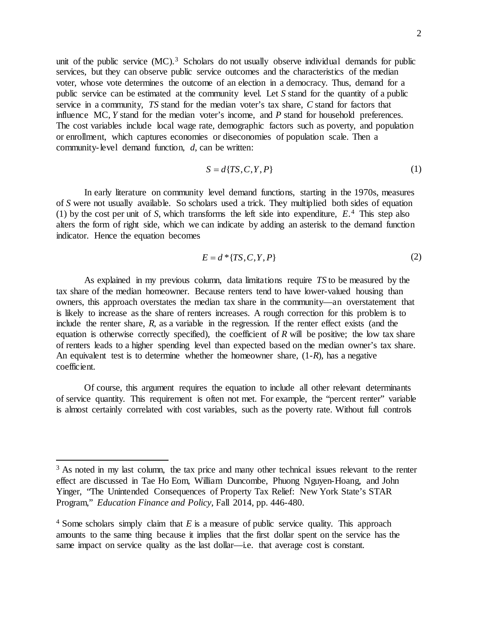unit of the public service  $(MC)$ .<sup>[3](#page-2-0)</sup> Scholars do not usually observe individual demands for public services, but they can observe public service outcomes and the characteristics of the median voter, whose vote determines the outcome of an election in a democracy. Thus, demand for a public service can be estimated at the community level. Let *S* stand for the quantity of a public service in a community, *TS* stand for the median voter's tax share, *C* stand for factors that influence MC, *Y* stand for the median voter's income, and *P* stand for household preferences. The cost variables include local wage rate, demographic factors such as poverty, and population or enrollment, which captures economies or diseconomies of population scale. Then a community-level demand function, *d*, can be written:

$$
S = d\{TS, C, Y, P\} \tag{1}
$$

In early literature on community level demand functions, starting in the 1970s, measures of *S* were not usually available. So scholars used a trick. They multiplied both sides of equation (1) by the cost per unit of *S*, which transforms the left side into expenditure, *E*.[4](#page-2-1) This step also alters the form of right side, which we can indicate by adding an asterisk to the demand function indicator. Hence the equation becomes

$$
E = d^* \{TS, C, Y, P\} \tag{2}
$$

As explained in my previous column, data limitations require *TS* to be measured by the tax share of the median homeowner. Because renters tend to have lower-valued housing than owners, this approach overstates the median tax share in the community—an overstatement that is likely to increase as the share of renters increases. A rough correction for this problem is to include the renter share,  $R$ , as a variable in the regression. If the renter effect exists (and the equation is otherwise correctly specified), the coefficient of  $R$  will be positive; the low tax share of renters leads to a higher spending level than expected based on the median owner's tax share. An equivalent test is to determine whether the homeowner share, (1-*R*), has a negative coefficient.

Of course, this argument requires the equation to include all other relevant determinants of service quantity. This requirement is often not met. For example, the "percent renter" variable is almost certainly correlated with cost variables, such as the poverty rate. Without full controls

 $\overline{a}$ 

<span id="page-2-0"></span><sup>&</sup>lt;sup>3</sup> As noted in my last column, the tax price and many other technical issues relevant to the renter effect are discussed in Tae Ho Eom, William Duncombe, Phuong Nguyen-Hoang, and John Yinger, "The Unintended Consequences of Property Tax Relief: New York State's STAR Program," *Education Finance and Policy*, Fall 2014, pp. 446-480.

<span id="page-2-1"></span><sup>4</sup> Some scholars simply claim that *E* is a measure of public service quality. This approach amounts to the same thing because it implies that the first dollar spent on the service has the same impact on service quality as the last dollar—i.e. that average cost is constant.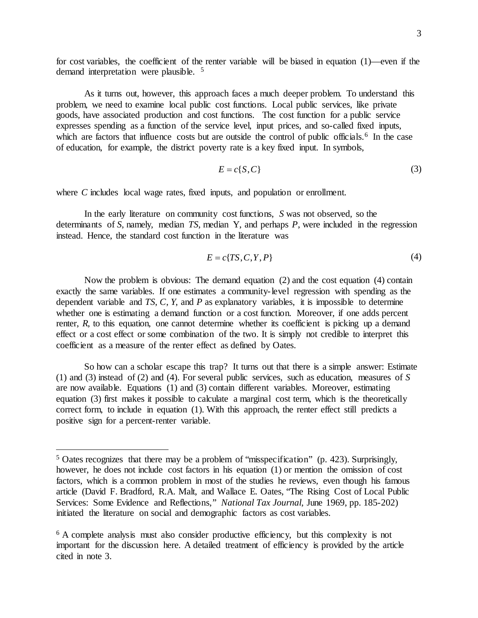for cost variables, the coefficient of the renter variable will be biased in equation (1)—even if the demand interpretation were plausible. <sup>[5](#page-3-1)</sup>

As it turns out, however, this approach faces a much deeper problem. To understand this problem, we need to examine local public cost functions. Local public services, like private goods, have associated production and cost functions. The cost function for a public service expresses spending as a function of the service level, input prices, and so-called fixed inputs, which are factors that influence costs but are outside the control of public officials.<sup>[6](#page-3-2)</sup> In the case of education, for example, the district poverty rate is a key fixed input. In symbols,

$$
E = c\{S, C\} \tag{3}
$$

where *C* includes local wage rates, fixed inputs, and population or enrollment.

In the early literature on community cost functions, *S* was not observed, so the determinants of *S*, namely, median *TS*, median Y, and perhaps *P*, were included in the regression instead. Hence, the standard cost function in the literature was

$$
E = c\{TS, C, Y, P\} \tag{4}
$$

Now the problem is obvious: The demand equation (2) and the cost equation (4) contain exactly the same variables. If one estimates a community-level regression with spending as the dependent variable and *TS*, *C*, *Y*, and *P* as explanatory variables, it is impossible to determine whether one is estimating a demand function or a cost function. Moreover, if one adds percent renter,  $R$ , to this equation, one cannot determine whether its coefficient is picking up a demand effect or a cost effect or some combination of the two. It is simply not credible to interpret this coefficient as a measure of the renter effect as defined by Oates.

So how can a scholar escape this trap? It turns out that there is a simple answer: Estimate (1) and (3) instead of (2) and (4). For several public services, such as education, measures of *S* are now available. Equations (1) and (3) contain different variables. Moreover, estimating equation (3) first makes it possible to calculate a marginal cost term, which is the theoretically correct form, to include in equation (1). With this approach, the renter effect still predicts a positive sign for a percent-renter variable.

<span id="page-3-0"></span> $\overline{a}$ 

<span id="page-3-1"></span><sup>5</sup> Oates recognizes that there may be a problem of "misspecification" (p. 423). Surprisingly, however, he does not include cost factors in his equation (1) or mention the omission of cost factors, which is a common problem in most of the studies he reviews, even though his famous article (David F. Bradford, R.A. Malt, and Wallace E. Oates, "The Rising Cost of Local Public Services: Some Evidence and Reflections," *National Tax Journal*, June 1969, pp. 185-202) initiated the literature on social and demographic factors as cost variables.

<span id="page-3-2"></span><sup>&</sup>lt;sup>6</sup> A complete analysis must also consider productive efficiency, but this complexity is not important for the discussion here. A detailed treatment of efficiency is provided by the article cited in note 3.